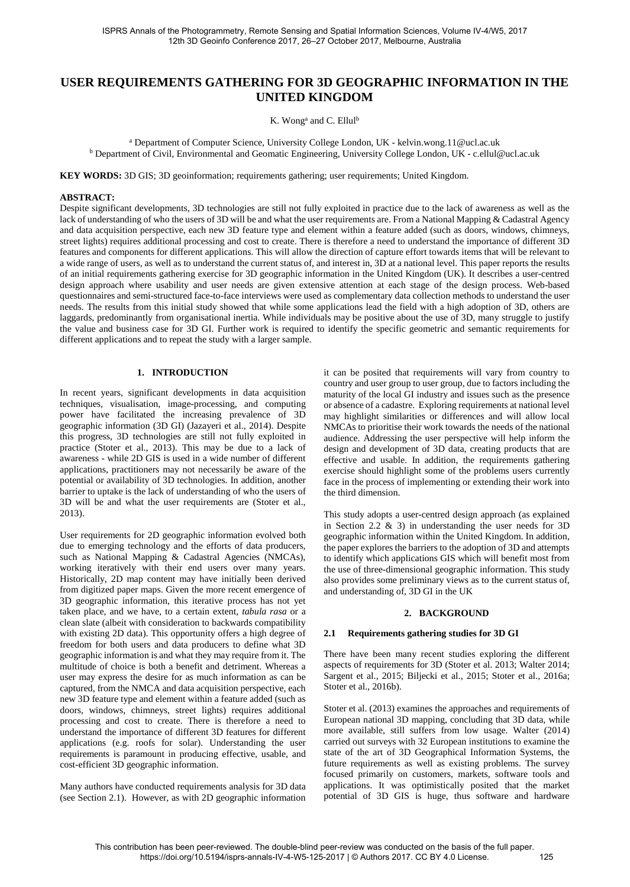# **USER REQUIREMENTS GATHERING FOR 3D GEOGRAPHIC INFORMATION IN THE UNITED KINGDOM**

K. Wong<sup>a</sup> and C. Ellul<sup>b</sup>

<sup>a</sup> Department of Computer Science, University College London, UK - kelvin.wong.11@ucl.ac.uk<br>b Department of Civil, Environmental and Geomatic Engineering, University College London, UK - c.ellul@ucl.ac.uk

**KEY WORDS:** 3D GIS; 3D geoinformation; requirements gathering; user requirements; United Kingdom.

#### **ABSTRACT:**

Despite significant developments, 3D technologies are still not fully exploited in practice due to the lack of awareness as well as the lack of understanding of who the users of 3D will be and what the user requirements are. From a National Mapping & Cadastral Agency and data acquisition perspective, each new 3D feature type and element within a feature added (such as doors, windows, chimneys, street lights) requires additional processing and cost to create. There is therefore a need to understand the importance of different 3D features and components for different applications. This will allow the direction of capture effort towards items that will be relevant to a wide range of users, as well as to understand the current status of, and interest in, 3D at a national level. This paper reports the results of an initial requirements gathering exercise for 3D geographic information in the United Kingdom (UK). It describes a user-centred design approach where usability and user needs are given extensive attention at each stage of the design process. Web-based questionnaires and semi-structured face-to-face interviews were used as complementary data collection methods to understand the user needs. The results from this initial study showed that while some applications lead the field with a high adoption of 3D, others are laggards, predominantly from organisational inertia. While individuals may be positive about the use of 3D, many struggle to justify the value and business case for 3D GI. Further work is required to identify the specific geometric and semantic requirements for different applications and to repeat the study with a larger sample.

#### **1. INTRODUCTION**

In recent years, significant developments in data acquisition techniques, visualisation, image-processing, and computing power have facilitated the increasing prevalence of 3D geographic information (3D GI) (Jazayeri et al., 2014). Despite this progress, 3D technologies are still not fully exploited in practice (Stoter et al., 2013). This may be due to a lack of awareness - while 2D GIS is used in a wide number of different applications, practitioners may not necessarily be aware of the potential or availability of 3D technologies. In addition, another barrier to uptake is the lack of understanding of who the users of 3D will be and what the user requirements are (Stoter et al., 2013).

User requirements for 2D geographic information evolved both due to emerging technology and the efforts of data producers, such as National Mapping & Cadastral Agencies (NMCAs), working iteratively with their end users over many years. Historically, 2D map content may have initially been derived from digitized paper maps. Given the more recent emergence of 3D geographic information, this iterative process has not yet taken place, and we have, to a certain extent, *tabula rasa* or a clean slate (albeit with consideration to backwards compatibility with existing 2D data). This opportunity offers a high degree of freedom for both users and data producers to define what 3D geographic information is and what they may require from it. The multitude of choice is both a benefit and detriment. Whereas a user may express the desire for as much information as can be captured, from the NMCA and data acquisition perspective, each new 3D feature type and element within a feature added (such as doors, windows, chimneys, street lights) requires additional processing and cost to create. There is therefore a need to understand the importance of different 3D features for different applications (e.g. roofs for solar). Understanding the user requirements is paramount in producing effective, usable, and cost-efficient 3D geographic information.

Many authors have conducted requirements analysis for 3D data (see Section [2.1\)](#page-0-0). However, as with 2D geographic information

it can be posited that requirements will vary from country to country and user group to user group, due to factors including the maturity of the local GI industry and issues such as the presence or absence of a cadastre. Exploring requirements at national level may highlight similarities or differences and will allow local NMCAs to prioritise their work towards the needs of the national audience. Addressing the user perspective will help inform the design and development of 3D data, creating products that are effective and usable. In addition, the requirements gathering exercise should highlight some of the problems users currently face in the process of implementing or extending their work into the third dimension.

This study adopts a user-centred design approach (as explained in Section [2.2](#page-1-0) & [3\)](#page-1-1) in understanding the user needs for 3D geographic information within the United Kingdom. In addition, the paper explores the barriers to the adoption of 3D and attempts to identify which applications GIS which will benefit most from the use of three-dimensional geographic information. This study also provides some preliminary views as to the current status of, and understanding of, 3D GI in the UK

#### **2. BACKGROUND**

## <span id="page-0-0"></span>**2.1 Requirements gathering studies for 3D GI**

There have been many recent studies exploring the different aspects of requirements for 3D (Stoter et al. 2013; Walter 2014; Sargent et al., 2015; Biljecki et al., 2015; Stoter et al., 2016a; Stoter et al., 2016b).

Stoter et al. (2013) examines the approaches and requirements of European national 3D mapping, concluding that 3D data, while more available, still suffers from low usage. Walter (2014) carried out surveys with 32 European institutions to examine the state of the art of 3D Geographical Information Systems, the future requirements as well as existing problems. The survey focused primarily on customers, markets, software tools and applications. It was optimistically posited that the market potential of 3D GIS is huge, thus software and hardware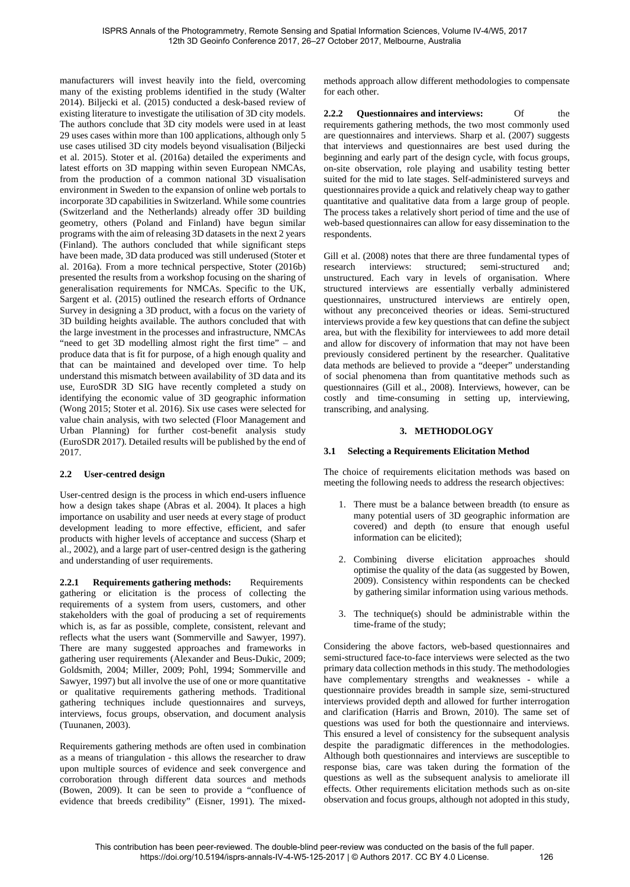manufacturers will invest heavily into the field, overcoming many of the existing problems identified in the study (Walter 2014). Biljecki et al. (2015) conducted a desk-based review of existing literature to investigate the utilisation of 3D city models. The authors conclude that 3D city models were used in at least 29 uses cases within more than 100 applications, although only 5 use cases utilised 3D city models beyond visualisation (Biljecki et al. 2015). Stoter et al. (2016a) detailed the experiments and latest efforts on 3D mapping within seven European NMCAs, from the production of a common national 3D visualisation environment in Sweden to the expansion of online web portals to incorporate 3D capabilities in Switzerland. While some countries (Switzerland and the Netherlands) already offer 3D building geometry, others (Poland and Finland) have begun similar programs with the aim of releasing 3D datasets in the next 2 years (Finland). The authors concluded that while significant steps have been made, 3D data produced was still underused (Stoter et al. 2016a). From a more technical perspective, Stoter (2016b) presented the results from a workshop focusing on the sharing of generalisation requirements for NMCAs. Specific to the UK, Sargent et al. (2015) outlined the research efforts of Ordnance Survey in designing a 3D product, with a focus on the variety of 3D building heights available. The authors concluded that with the large investment in the processes and infrastructure, NMCAs "need to get 3D modelling almost right the first time" – and produce data that is fit for purpose, of a high enough quality and that can be maintained and developed over time. To help understand this mismatch between availability of 3D data and its use, EuroSDR 3D SIG have recently completed a study on identifying the economic value of 3D geographic information (Wong 2015; Stoter et al. 2016). Six use cases were selected for value chain analysis, with two selected (Floor Management and Urban Planning) for further cost-benefit analysis study (EuroSDR 2017). Detailed results will be published by the end of 2017.

## <span id="page-1-0"></span>**2.2 User-centred design**

User-centred design is the process in which end-users influence how a design takes shape (Abras et al. 2004). It places a high importance on usability and user needs at every stage of product development leading to more effective, efficient, and safer products with higher levels of acceptance and success (Sharp et al., 2002), and a large part of user-centred design is the gathering and understanding of user requirements.

**2.2.1 Requirements gathering methods:** Requirements gathering or elicitation is the process of collecting the requirements of a system from users, customers, and other stakeholders with the goal of producing a set of requirements which is, as far as possible, complete, consistent, relevant and reflects what the users want (Sommerville and Sawyer, 1997). There are many suggested approaches and frameworks in gathering user requirements (Alexander and Beus-Dukic, 2009; Goldsmith, 2004; Miller, 2009; Pohl, 1994; Sommerville and Sawyer, 1997) but all involve the use of one or more quantitative or qualitative requirements gathering methods. Traditional gathering techniques include questionnaires and surveys, interviews, focus groups, observation, and document analysis (Tuunanen, 2003).

Requirements gathering methods are often used in combination as a means of triangulation - this allows the researcher to draw upon multiple sources of evidence and seek convergence and corroboration through different data sources and methods (Bowen, 2009). It can be seen to provide a "confluence of evidence that breeds credibility" (Eisner, 1991). The mixedmethods approach allow different methodologies to compensate for each other.

**2.2.2 Questionnaires and interviews:** Of the requirements gathering methods, the two most commonly used are questionnaires and interviews. Sharp et al. (2007) suggests that interviews and questionnaires are best used during the beginning and early part of the design cycle, with focus groups, on-site observation, role playing and usability testing better suited for the mid to late stages. Self-administered surveys and questionnaires provide a quick and relatively cheap way to gather quantitative and qualitative data from a large group of people. The process takes a relatively short period of time and the use of web-based questionnaires can allow for easy dissemination to the respondents.

Gill et al. (2008) notes that there are three fundamental types of research interviews: structured; semi-structured and; unstructured. Each vary in levels of organisation. Where structured interviews are essentially verbally administered questionnaires, unstructured interviews are entirely open, without any preconceived theories or ideas. Semi-structured interviews provide a few key questions that can define the subject area, but with the flexibility for interviewees to add more detail and allow for discovery of information that may not have been previously considered pertinent by the researcher. Qualitative data methods are believed to provide a "deeper" understanding of social phenomena than from quantitative methods such as questionnaires (Gill et al., 2008). Interviews, however, can be costly and time-consuming in setting up, interviewing, transcribing, and analysing.

## **3. METHODOLOGY**

## <span id="page-1-1"></span>**3.1 Selecting a Requirements Elicitation Method**

The choice of requirements elicitation methods was based on meeting the following needs to address the research objectives:

- 1. There must be a balance between breadth (to ensure as many potential users of 3D geographic information are covered) and depth (to ensure that enough useful information can be elicited);
- 2. Combining diverse elicitation approaches should optimise the quality of the data (as suggested by Bowen, 2009). Consistency within respondents can be checked by gathering similar information using various methods.
- 3. The technique(s) should be administrable within the time-frame of the study;

Considering the above factors, web-based questionnaires and semi-structured face-to-face interviews were selected as the two primary data collection methods in this study. The methodologies have complementary strengths and weaknesses - while a questionnaire provides breadth in sample size, semi-structured interviews provided depth and allowed for further interrogation and clarification (Harris and Brown, 2010). The same set of questions was used for both the questionnaire and interviews. This ensured a level of consistency for the subsequent analysis despite the paradigmatic differences in the methodologies. Although both questionnaires and interviews are susceptible to response bias, care was taken during the formation of the questions as well as the subsequent analysis to ameliorate ill effects. Other requirements elicitation methods such as on-site observation and focus groups, although not adopted in this study,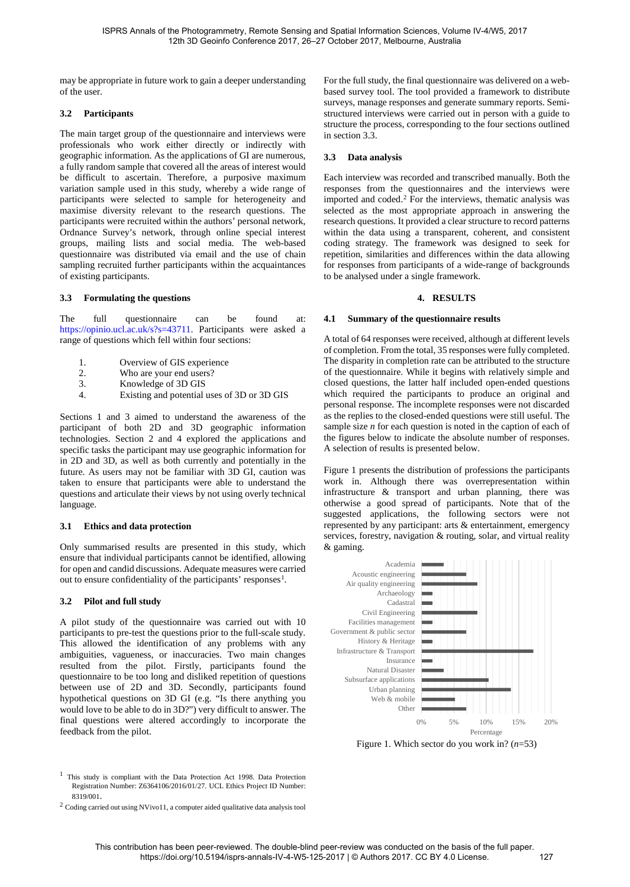may be appropriate in future work to gain a deeper understanding of the user.

## <span id="page-2-4"></span>**3.2 Participants**

The main target group of the questionnaire and interviews were professionals who work either directly or indirectly with geographic information. As the applications of GI are numerous, a fully random sample that covered all the areas of interest would be difficult to ascertain. Therefore, a purposive maximum variation sample used in this study, whereby a wide range of participants were selected to sample for heterogeneity and maximise diversity relevant to the research questions. The participants were recruited within the authors' personal network, Ordnance Survey's network, through online special interest groups, mailing lists and social media. The web-based questionnaire was distributed via email and the use of chain sampling recruited further participants within the acquaintances of existing participants.

## <span id="page-2-0"></span>**3.3 Formulating the questions**

The full questionnaire can be found at: [https://opinio.ucl.ac.uk/s?s=43711.](https://opinio.ucl.ac.uk/s?s=43711) Participants were asked a range of questions which fell within four sections:

- 1. Overview of GIS experience<br>2. Who are vour end users?
- 2. Who are your end users?<br>3. Knowledge of 3D GIS
- 3. Knowledge of 3D GIS  $\frac{A}{A}$  Existing and potential
- 4. Existing and potential uses of 3D or 3D GIS

Sections 1 and 3 aimed to understand the awareness of the participant of both 2D and 3D geographic information technologies. Section 2 and 4 explored the applications and specific tasks the participant may use geographic information for in 2D and 3D, as well as both currently and potentially in the future. As users may not be familiar with 3D GI, caution was taken to ensure that participants were able to understand the questions and articulate their views by not using overly technical language.

## **3.1 Ethics and data protection**

Only summarised results are presented in this study, which ensure that individual participants cannot be identified, allowing for open and candid discussions. Adequate measures were carried out to ensure confidentiality of the participants' responses $<sup>1</sup>$ .</sup>

## **3.2 Pilot and full study**

A pilot study of the questionnaire was carried out with 10 participants to pre-test the questions prior to the full-scale study. This allowed the identification of any problems with any ambiguities, vagueness, or inaccuracies. Two main changes resulted from the pilot. Firstly, participants found the questionnaire to be too long and disliked repetition of questions between use of 2D and 3D. Secondly, participants found hypothetical questions on 3D GI (e.g. "Is there anything you would love to be able to do in 3D?") very difficult to answer. The final questions were altered accordingly to incorporate the feedback from the pilot.

<span id="page-2-2"></span><sup>1</sup> This study is compliant with the Data Protection Act 1998. Data Protection Registration Number: Z6364106/2016/01/27. UCL Ethics Project ID Number: 8319/001.<br><sup>2</sup> Coding carried out using NVivo11, a computer aided qualitative data analysis tool

For the full study, the final questionnaire was delivered on a webbased survey tool. The tool provided a framework to distribute surveys, manage responses and generate summary reports. Semistructured interviews were carried out in person with a guide to structure the process, corresponding to the four sections outlined in sectio[n 3.3.](#page-2-0) 

## **3.3 Data analysis**

Each interview was recorded and transcribed manually. Both the responses from the questionnaires and the interviews were imported and coded. [2](#page-2-3) For the interviews, thematic analysis was selected as the most appropriate approach in answering the research questions. It provided a clear structure to record patterns within the data using a transparent, coherent, and consistent coding strategy. The framework was designed to seek for repetition, similarities and differences within the data allowing for responses from participants of a wide-range of backgrounds to be analysed under a single framework.

#### **4. RESULTS**

## **4.1 Summary of the questionnaire results**

A total of 64 responses were received, although at different levels of completion. From the total, 35 responses were fully completed. The disparity in completion rate can be attributed to the structure of the questionnaire. While it begins with relatively simple and closed questions, the latter half included open-ended questions which required the participants to produce an original and personal response. The incomplete responses were not discarded as the replies to the closed-ended questions were still useful. The sample size *n* for each question is noted in the caption of each of the figures below to indicate the absolute number of responses. A selection of results is presented below.

[Figure 1](#page-2-1) presents the distribution of professions the participants work in. Although there was overrepresentation within infrastructure & transport and urban planning, there was otherwise a good spread of participants. Note that of the suggested applications, the following sectors were not represented by any participant: arts & entertainment, emergency services, forestry, navigation & routing, solar, and virtual reality & gaming.



<span id="page-2-1"></span>Figure 1. Which sector do you work in? (*n*=53)

<span id="page-2-3"></span>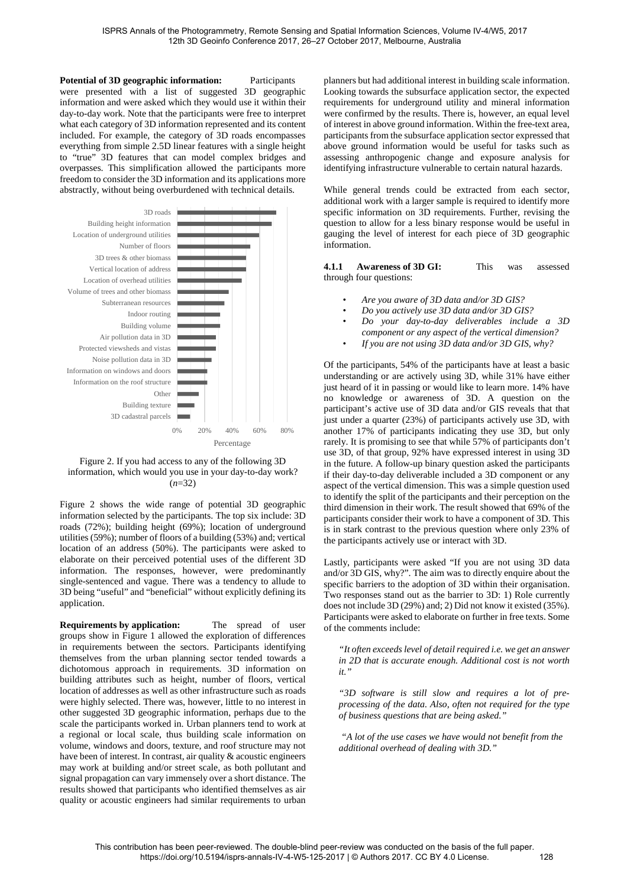**Potential of 3D geographic information:** Participants were presented with a list of suggested 3D geographic information and were asked which they would use it within their day-to-day work. Note that the participants were free to interpret what each category of 3D information represented and its content included. For example, the category of 3D roads encompasses everything from simple 2.5D linear features with a single height to "true" 3D features that can model complex bridges and overpasses. This simplification allowed the participants more freedom to consider the 3D information and its applications more abstractly, without being overburdened with technical details.



<span id="page-3-0"></span>Figure 2. If you had access to any of the following 3D information, which would you use in your day-to-day work? (*n*=32)

[Figure 2](#page-3-0) shows the wide range of potential 3D geographic information selected by the participants. The top six include: 3D roads (72%); building height (69%); location of underground utilities (59%); number of floors of a building (53%) and; vertical location of an address (50%). The participants were asked to elaborate on their perceived potential uses of the different 3D information. The responses, however, were predominantly single-sentenced and vague. There was a tendency to allude to 3D being "useful" and "beneficial" without explicitly defining its application.

**Requirements by application:** The spread of user groups show in [Figure 1](#page-2-1) allowed the exploration of differences in requirements between the sectors. Participants identifying themselves from the urban planning sector tended towards a dichotomous approach in requirements. 3D information on building attributes such as height, number of floors, vertical location of addresses as well as other infrastructure such as roads were highly selected. There was, however, little to no interest in other suggested 3D geographic information, perhaps due to the scale the participants worked in. Urban planners tend to work at a regional or local scale, thus building scale information on volume, windows and doors, texture, and roof structure may not have been of interest. In contrast, air quality & acoustic engineers may work at building and/or street scale, as both pollutant and signal propagation can vary immensely over a short distance. The results showed that participants who identified themselves as air quality or acoustic engineers had similar requirements to urban

planners but had additional interest in building scale information. Looking towards the subsurface application sector, the expected requirements for underground utility and mineral information were confirmed by the results. There is, however, an equal level of interest in above ground information. Within the free-text area, participants from the subsurface application sector expressed that above ground information would be useful for tasks such as assessing anthropogenic change and exposure analysis for identifying infrastructure vulnerable to certain natural hazards.

While general trends could be extracted from each sector, additional work with a larger sample is required to identify more specific information on 3D requirements. Further, revising the question to allow for a less binary response would be useful in gauging the level of interest for each piece of 3D geographic information.

**4.1.1 Awareness of 3D GI:** This was assessed through four questions:

- *Are you aware of 3D data and/or 3D GIS?*
- *Do you actively use 3D data and/or 3D GIS?*
- *Do your day-to-day deliverables include a 3D component or any aspect of the vertical dimension?*
- *If you are not using 3D data and/or 3D GIS, why?*

Of the participants, 54% of the participants have at least a basic understanding or are actively using 3D, while 31% have either just heard of it in passing or would like to learn more. 14% have no knowledge or awareness of 3D. A question on the participant's active use of 3D data and/or GIS reveals that that just under a quarter (23%) of participants actively use 3D, with another 17% of participants indicating they use 3D, but only rarely. It is promising to see that while 57% of participants don't use 3D, of that group, 92% have expressed interest in using 3D in the future. A follow-up binary question asked the participants if their day-to-day deliverable included a 3D component or any aspect of the vertical dimension. This was a simple question used to identify the split of the participants and their perception on the third dimension in their work. The result showed that 69% of the participants consider their work to have a component of 3D. This is in stark contrast to the previous question where only 23% of the participants actively use or interact with 3D.

Lastly, participants were asked "If you are not using 3D data and/or 3D GIS, why?". The aim was to directly enquire about the specific barriers to the adoption of 3D within their organisation. Two responses stand out as the barrier to 3D: 1) Role currently does not include 3D (29%) and; 2) Did not know it existed (35%). Participants were asked to elaborate on further in free texts. Some of the comments include:

*"It often exceeds level of detail required i.e. we get an answer in 2D that is accurate enough. Additional cost is not worth it."*

*"3D software is still slow and requires a lot of preprocessing of the data. Also, often not required for the type of business questions that are being asked."*

*"A lot of the use cases we have would not benefit from the additional overhead of dealing with 3D."*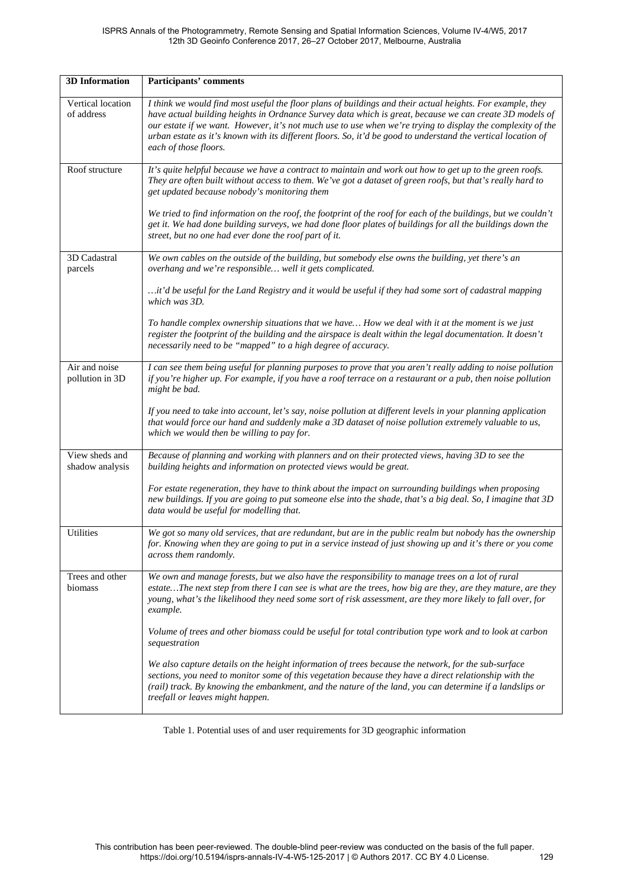#### ISPRS Annals of the Photogrammetry, Remote Sensing and Spatial Information Sciences, Volume IV-4/W5, 2017 12th 3D Geoinfo Conference 2017, 26–27 October 2017, Melbourne, Australia

| <b>3D</b> Information             | Participants' comments                                                                                                                                                                                                                                                                                                                                                                                                                                                         |
|-----------------------------------|--------------------------------------------------------------------------------------------------------------------------------------------------------------------------------------------------------------------------------------------------------------------------------------------------------------------------------------------------------------------------------------------------------------------------------------------------------------------------------|
| Vertical location<br>of address   | I think we would find most useful the floor plans of buildings and their actual heights. For example, they<br>have actual building heights in Ordnance Survey data which is great, because we can create 3D models of<br>our estate if we want. However, it's not much use to use when we're trying to display the complexity of the<br>urban estate as it's known with its different floors. So, it'd be good to understand the vertical location of<br>each of those floors. |
| Roof structure                    | It's quite helpful because we have a contract to maintain and work out how to get up to the green roofs.<br>They are often built without access to them. We've got a dataset of green roofs, but that's really hard to<br>get updated because nobody's monitoring them                                                                                                                                                                                                         |
|                                   | We tried to find information on the roof, the footprint of the roof for each of the buildings, but we couldn't<br>get it. We had done building surveys, we had done floor plates of buildings for all the buildings down the<br>street, but no one had ever done the roof part of it.                                                                                                                                                                                          |
| 3D Cadastral<br>parcels           | We own cables on the outside of the building, but somebody else owns the building, yet there's an<br>overhang and we're responsible well it gets complicated.                                                                                                                                                                                                                                                                                                                  |
|                                   | it'd be useful for the Land Registry and it would be useful if they had some sort of cadastral mapping<br>which was 3D.                                                                                                                                                                                                                                                                                                                                                        |
|                                   | To handle complex ownership situations that we have How we deal with it at the moment is we just<br>register the footprint of the building and the airspace is dealt within the legal documentation. It doesn't<br>necessarily need to be "mapped" to a high degree of accuracy.                                                                                                                                                                                               |
| Air and noise<br>pollution in 3D  | I can see them being useful for planning purposes to prove that you aren't really adding to noise pollution<br>if you're higher up. For example, if you have a roof terrace on a restaurant or a pub, then noise pollution<br>might be bad.                                                                                                                                                                                                                                    |
|                                   | If you need to take into account, let's say, noise pollution at different levels in your planning application<br>that would force our hand and suddenly make a 3D dataset of noise pollution extremely valuable to us,<br>which we would then be willing to pay for.                                                                                                                                                                                                           |
| View sheds and<br>shadow analysis | Because of planning and working with planners and on their protected views, having 3D to see the<br>building heights and information on protected views would be great.                                                                                                                                                                                                                                                                                                        |
|                                   | For estate regeneration, they have to think about the impact on surrounding buildings when proposing<br>new buildings. If you are going to put someone else into the shade, that's a big deal. So, I imagine that 3D<br>data would be useful for modelling that.                                                                                                                                                                                                               |
| <b>Utilities</b>                  | We got so many old services, that are redundant, but are in the public realm but nobody has the ownership<br>for. Knowing when they are going to put in a service instead of just showing up and it's there or you come<br>across them randomly.                                                                                                                                                                                                                               |
| Trees and other<br>biomass        | We own and manage forests, but we also have the responsibility to manage trees on a lot of rural<br>estateThe next step from there I can see is what are the trees, how big are they, are they mature, are they<br>young, what's the likelihood they need some sort of risk assessment, are they more likely to fall over, for<br>example.                                                                                                                                     |
|                                   | Volume of trees and other biomass could be useful for total contribution type work and to look at carbon<br>sequestration                                                                                                                                                                                                                                                                                                                                                      |
|                                   | We also capture details on the height information of trees because the network, for the sub-surface<br>sections, you need to monitor some of this vegetation because they have a direct relationship with the<br>(rail) track. By knowing the embankment, and the nature of the land, you can determine if a landslips or<br>treefall or leaves might happen.                                                                                                                  |

<span id="page-4-0"></span>Table 1. Potential uses of and user requirements for 3D geographic information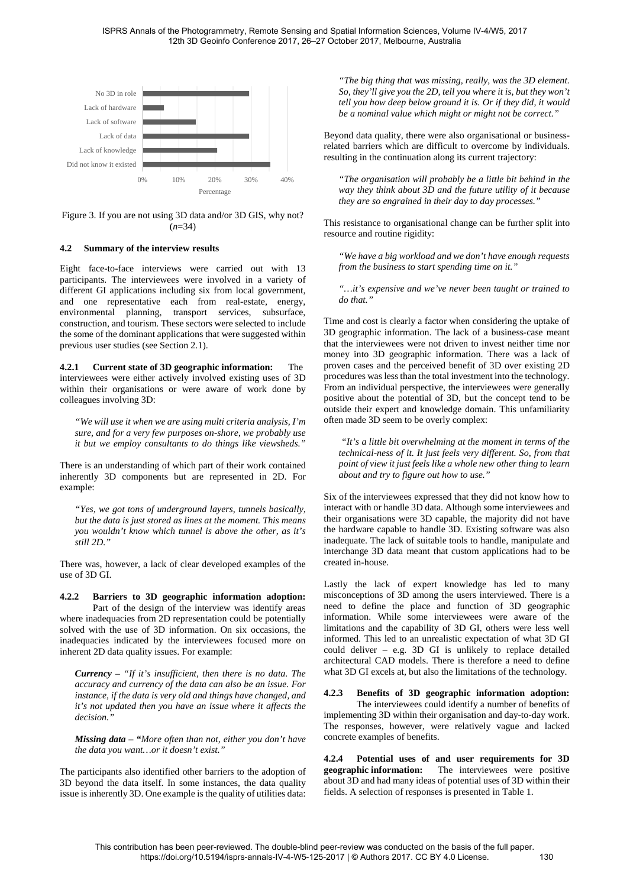

Figure 3. If you are not using 3D data and/or 3D GIS, why not? (*n*=34)

#### **4.2 Summary of the interview results**

Eight face-to-face interviews were carried out with 13 participants. The interviewees were involved in a variety of different GI applications including six from local government, and one representative each from real-estate, energy, environmental planning, transport services, subsurface, construction, and tourism. These sectors were selected to include the some of the dominant applications that were suggested within previous user studies (see Sectio[n 2.1\)](#page-0-0).

**4.2.1 Current state of 3D geographic information:** The interviewees were either actively involved existing uses of 3D within their organisations or were aware of work done by colleagues involving 3D:

*"We will use it when we are using multi criteria analysis, I'm sure, and for a very few purposes on-shore, we probably use it but we employ consultants to do things like viewsheds."* 

There is an understanding of which part of their work contained inherently 3D components but are represented in 2D. For example:

*"Yes, we got tons of underground layers, tunnels basically, but the data is just stored as lines at the moment. This means you wouldn't know which tunnel is above the other, as it's still 2D."*

There was, however, a lack of clear developed examples of the use of 3D GI.

**4.2.2 Barriers to 3D geographic information adoption:** Part of the design of the interview was identify areas where inadequacies from 2D representation could be potentially solved with the use of 3D information. On six occasions, the inadequacies indicated by the interviewees focused more on inherent 2D data quality issues. For example:

*Currency – "If it's insufficient, then there is no data. The accuracy and currency of the data can also be an issue. For instance, if the data is very old and things have changed, and it's not updated then you have an issue where it affects the decision."* 

*Missing data – "More often than not, either you don't have the data you want…or it doesn't exist."* 

The participants also identified other barriers to the adoption of 3D beyond the data itself. In some instances, the data quality issue is inherently 3D. One example is the quality of utilities data:

*"The big thing that was missing, really, was the 3D element. So, they'll give you the 2D, tell you where it is, but they won't tell you how deep below ground it is. Or if they did, it would be a nominal value which might or might not be correct."*

Beyond data quality, there were also organisational or businessrelated barriers which are difficult to overcome by individuals. resulting in the continuation along its current trajectory:

*"The organisation will probably be a little bit behind in the way they think about 3D and the future utility of it because they are so engrained in their day to day processes."* 

This resistance to organisational change can be further split into resource and routine rigidity:

*"We have a big workload and we don't have enough requests from the business to start spending time on it."*

*"…it's expensive and we've never been taught or trained to do that."*

Time and cost is clearly a factor when considering the uptake of 3D geographic information. The lack of a business-case meant that the interviewees were not driven to invest neither time nor money into 3D geographic information. There was a lack of proven cases and the perceived benefit of 3D over existing 2D procedures was less than the total investment into the technology. From an individual perspective, the interviewees were generally positive about the potential of 3D, but the concept tend to be outside their expert and knowledge domain. This unfamiliarity often made 3D seem to be overly complex:

 *"It's a little bit overwhelming at the moment in terms of the technical-ness of it. It just feels very different. So, from that point of view it just feels like a whole new other thing to learn about and try to figure out how to use."* 

Six of the interviewees expressed that they did not know how to interact with or handle 3D data. Although some interviewees and their organisations were 3D capable, the majority did not have the hardware capable to handle 3D. Existing software was also inadequate. The lack of suitable tools to handle, manipulate and interchange 3D data meant that custom applications had to be created in-house.

Lastly the lack of expert knowledge has led to many misconceptions of 3D among the users interviewed. There is a need to define the place and function of 3D geographic information. While some interviewees were aware of the limitations and the capability of 3D GI, others were less well informed. This led to an unrealistic expectation of what 3D GI could deliver – e.g. 3D GI is unlikely to replace detailed architectural CAD models. There is therefore a need to define what 3D GI excels at, but also the limitations of the technology.

## **4.2.3 Benefits of 3D geographic information adoption:**

The interviewees could identify a number of benefits of implementing 3D within their organisation and day-to-day work. The responses, however, were relatively vague and lacked concrete examples of benefits.

**4.2.4 Potential uses of and user requirements for 3D geographic information:** The interviewees were positive about 3D and had many ideas of potential uses of 3D within their fields. A selection of responses is presented in [Table 1.](#page-4-0)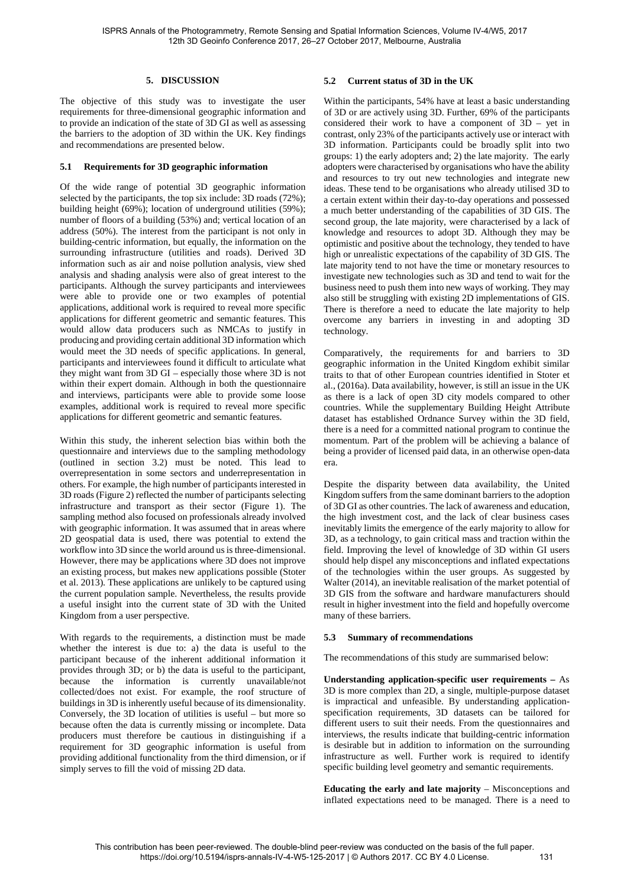#### **5. DISCUSSION**

The objective of this study was to investigate the user requirements for three-dimensional geographic information and to provide an indication of the state of 3D GI as well as assessing the barriers to the adoption of 3D within the UK. Key findings and recommendations are presented below.

#### **5.1 Requirements for 3D geographic information**

Of the wide range of potential 3D geographic information selected by the participants, the top six include: 3D roads (72%); building height (69%); location of underground utilities (59%); number of floors of a building (53%) and; vertical location of an address (50%). The interest from the participant is not only in building-centric information, but equally, the information on the surrounding infrastructure (utilities and roads). Derived 3D information such as air and noise pollution analysis, view shed analysis and shading analysis were also of great interest to the participants. Although the survey participants and interviewees were able to provide one or two examples of potential applications, additional work is required to reveal more specific applications for different geometric and semantic features. This would allow data producers such as NMCAs to justify in producing and providing certain additional 3D information which would meet the 3D needs of specific applications. In general, participants and interviewees found it difficult to articulate what they might want from 3D GI – especially those where 3D is not within their expert domain. Although in both the questionnaire and interviews, participants were able to provide some loose examples, additional work is required to reveal more specific applications for different geometric and semantic features.

Within this study, the inherent selection bias within both the questionnaire and interviews due to the sampling methodology (outlined in section [3.2\)](#page-2-4) must be noted. This lead to overrepresentation in some sectors and underrepresentation in others. For example, the high number of participants interested in 3D roads [\(Figure 2\)](#page-3-0) reflected the number of participants selecting infrastructure and transport as their sector [\(Figure 1\)](#page-2-1). The sampling method also focused on professionals already involved with geographic information. It was assumed that in areas where 2D geospatial data is used, there was potential to extend the workflow into 3D since the world around us is three-dimensional. However, there may be applications where 3D does not improve an existing process, but makes new applications possible (Stoter et al. 2013). These applications are unlikely to be captured using the current population sample. Nevertheless, the results provide a useful insight into the current state of 3D with the United Kingdom from a user perspective.

With regards to the requirements, a distinction must be made whether the interest is due to: a) the data is useful to the participant because of the inherent additional information it provides through 3D; or b) the data is useful to the participant, because the information is currently unavailable/not collected/does not exist. For example, the roof structure of buildings in 3D is inherently useful because of its dimensionality. Conversely, the 3D location of utilities is useful – but more so because often the data is currently missing or incomplete. Data producers must therefore be cautious in distinguishing if a requirement for 3D geographic information is useful from providing additional functionality from the third dimension, or if simply serves to fill the void of missing 2D data.

## **5.2 Current status of 3D in the UK**

Within the participants, 54% have at least a basic understanding of 3D or are actively using 3D. Further, 69% of the participants considered their work to have a component of 3D – yet in contrast, only 23% of the participants actively use or interact with 3D information. Participants could be broadly split into two groups: 1) the early adopters and; 2) the late majority. The early adopters were characterised by organisations who have the ability and resources to try out new technologies and integrate new ideas. These tend to be organisations who already utilised 3D to a certain extent within their day-to-day operations and possessed a much better understanding of the capabilities of 3D GIS. The second group, the late majority, were characterised by a lack of knowledge and resources to adopt 3D. Although they may be optimistic and positive about the technology, they tended to have high or unrealistic expectations of the capability of 3D GIS. The late majority tend to not have the time or monetary resources to investigate new technologies such as 3D and tend to wait for the business need to push them into new ways of working. They may also still be struggling with existing 2D implementations of GIS. There is therefore a need to educate the late majority to help overcome any barriers in investing in and adopting 3D technology.

Comparatively, the requirements for and barriers to 3D geographic information in the United Kingdom exhibit similar traits to that of other European countries identified in Stoter et al., (2016a). Data availability, however, is still an issue in the UK as there is a lack of open 3D city models compared to other countries. While the supplementary Building Height Attribute dataset has established Ordnance Survey within the 3D field, there is a need for a committed national program to continue the momentum. Part of the problem will be achieving a balance of being a provider of licensed paid data, in an otherwise open-data era.

Despite the disparity between data availability, the United Kingdom suffers from the same dominant barriers to the adoption of 3D GI as other countries. The lack of awareness and education, the high investment cost, and the lack of clear business cases inevitably limits the emergence of the early majority to allow for 3D, as a technology, to gain critical mass and traction within the field. Improving the level of knowledge of 3D within GI users should help dispel any misconceptions and inflated expectations of the technologies within the user groups. As suggested by Walter (2014), an inevitable realisation of the market potential of 3D GIS from the software and hardware manufacturers should result in higher investment into the field and hopefully overcome many of these barriers.

#### **5.3 Summary of recommendations**

The recommendations of this study are summarised below:

**Understanding application-specific user requirements –** As 3D is more complex than 2D, a single, multiple-purpose dataset is impractical and unfeasible. By understanding applicationspecification requirements, 3D datasets can be tailored for different users to suit their needs. From the questionnaires and interviews, the results indicate that building-centric information is desirable but in addition to information on the surrounding infrastructure as well. Further work is required to identify specific building level geometry and semantic requirements.

**Educating the early and late majority** – Misconceptions and inflated expectations need to be managed. There is a need to